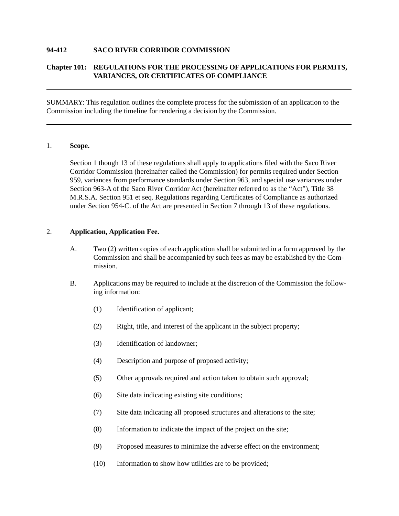## **94-412 SACO RIVER CORRIDOR COMMISSION**

## **Chapter 101: REGULATIONS FOR THE PROCESSING OF APPLICATIONS FOR PERMITS, VARIANCES, OR CERTIFICATES OF COMPLIANCE**

SUMMARY: This regulation outlines the complete process for the submission of an application to the Commission including the timeline for rendering a decision by the Commission.

#### 1. **Scope.**

Section 1 though 13 of these regulations shall apply to applications filed with the Saco River Corridor Commission (hereinafter called the Commission) for permits required under Section 959, variances from performance standards under Section 963, and special use variances under Section 963-A of the Saco River Corridor Act (hereinafter referred to as the "Act"), Title 38 M.R.S.A. Section 951 et seq. Regulations regarding Certificates of Compliance as authorized under Section 954-C. of the Act are presented in Section 7 through 13 of these regulations.

#### 2. **Application, Application Fee.**

- A. Two (2) written copies of each application shall be submitted in a form approved by the Commission and shall be accompanied by such fees as may be established by the Commission.
- B. Applications may be required to include at the discretion of the Commission the following information:
	- (1) Identification of applicant;
	- (2) Right, title, and interest of the applicant in the subject property;
	- (3) Identification of landowner;
	- (4) Description and purpose of proposed activity;
	- (5) Other approvals required and action taken to obtain such approval;
	- (6) Site data indicating existing site conditions;
	- (7) Site data indicating all proposed structures and alterations to the site;
	- (8) Information to indicate the impact of the project on the site;
	- (9) Proposed measures to minimize the adverse effect on the environment;
	- (10) Information to show how utilities are to be provided;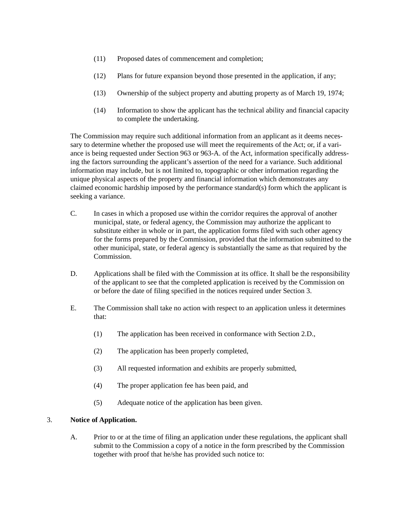- (11) Proposed dates of commencement and completion;
- (12) Plans for future expansion beyond those presented in the application, if any;
- (13) Ownership of the subject property and abutting property as of March 19, 1974;
- (14) Information to show the applicant has the technical ability and financial capacity to complete the undertaking.

The Commission may require such additional information from an applicant as it deems necessary to determine whether the proposed use will meet the requirements of the Act; or, if a variance is being requested under Section 963 or 963-A. of the Act, information specifically addressing the factors surrounding the applicant's assertion of the need for a variance. Such additional information may include, but is not limited to, topographic or other information regarding the unique physical aspects of the property and financial information which demonstrates any claimed economic hardship imposed by the performance standard(s) form which the applicant is seeking a variance.

- C. In cases in which a proposed use within the corridor requires the approval of another municipal, state, or federal agency, the Commission may authorize the applicant to substitute either in whole or in part, the application forms filed with such other agency for the forms prepared by the Commission, provided that the information submitted to the other municipal, state, or federal agency is substantially the same as that required by the Commission.
- D. Applications shall be filed with the Commission at its office. It shall be the responsibility of the applicant to see that the completed application is received by the Commission on or before the date of filing specified in the notices required under Section 3.
- E. The Commission shall take no action with respect to an application unless it determines that:
	- (1) The application has been received in conformance with Section 2.D.,
	- (2) The application has been properly completed,
	- (3) All requested information and exhibits are properly submitted,
	- (4) The proper application fee has been paid, and
	- (5) Adequate notice of the application has been given.

## 3. **Notice of Application.**

A. Prior to or at the time of filing an application under these regulations, the applicant shall submit to the Commission a copy of a notice in the form prescribed by the Commission together with proof that he/she has provided such notice to: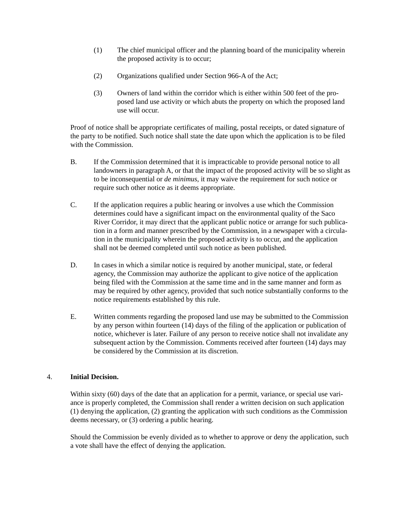- (1) The chief municipal officer and the planning board of the municipality wherein the proposed activity is to occur;
- (2) Organizations qualified under Section 966-A of the Act;
- (3) Owners of land within the corridor which is either within 500 feet of the proposed land use activity or which abuts the property on which the proposed land use will occur.

Proof of notice shall be appropriate certificates of mailing, postal receipts, or dated signature of the party to be notified. Such notice shall state the date upon which the application is to be filed with the Commission.

- B. If the Commission determined that it is impracticable to provide personal notice to all landowners in paragraph A, or that the impact of the proposed activity will be so slight as to be inconsequential or *de minimus*, it may waive the requirement for such notice or require such other notice as it deems appropriate.
- C. If the application requires a public hearing or involves a use which the Commission determines could have a significant impact on the environmental quality of the Saco River Corridor, it may direct that the applicant public notice or arrange for such publication in a form and manner prescribed by the Commission, in a newspaper with a circulation in the municipality wherein the proposed activity is to occur, and the application shall not be deemed completed until such notice as been published.
- D. In cases in which a similar notice is required by another municipal, state, or federal agency, the Commission may authorize the applicant to give notice of the application being filed with the Commission at the same time and in the same manner and form as may be required by other agency, provided that such notice substantially conforms to the notice requirements established by this rule.
- E. Written comments regarding the proposed land use may be submitted to the Commission by any person within fourteen (14) days of the filing of the application or publication of notice, whichever is later. Failure of any person to receive notice shall not invalidate any subsequent action by the Commission. Comments received after fourteen (14) days may be considered by the Commission at its discretion.

## 4. **Initial Decision.**

Within sixty (60) days of the date that an application for a permit, variance, or special use variance is properly completed, the Commission shall render a written decision on such application (1) denying the application, (2) granting the application with such conditions as the Commission deems necessary, or (3) ordering a public hearing.

Should the Commission be evenly divided as to whether to approve or deny the application, such a vote shall have the effect of denying the application.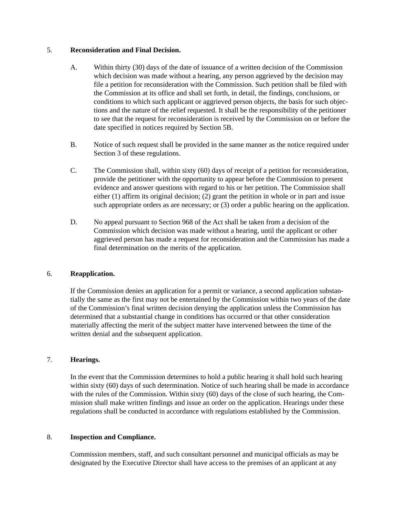## 5. **Reconsideration and Final Decision.**

- A. Within thirty (30) days of the date of issuance of a written decision of the Commission which decision was made without a hearing, any person aggrieved by the decision may file a petition for reconsideration with the Commission. Such petition shall be filed with the Commission at its office and shall set forth, in detail, the findings, conclusions, or conditions to which such applicant or aggrieved person objects, the basis for such objections and the nature of the relief requested. It shall be the responsibility of the petitioner to see that the request for reconsideration is received by the Commission on or before the date specified in notices required by Section 5B.
- B. Notice of such request shall be provided in the same manner as the notice required under Section 3 of these regulations.
- C. The Commission shall, within sixty (60) days of receipt of a petition for reconsideration, provide the petitioner with the opportunity to appear before the Commission to present evidence and answer questions with regard to his or her petition. The Commission shall either (1) affirm its original decision; (2) grant the petition in whole or in part and issue such appropriate orders as are necessary; or (3) order a public hearing on the application.
- D. No appeal pursuant to Section 968 of the Act shall be taken from a decision of the Commission which decision was made without a hearing, until the applicant or other aggrieved person has made a request for reconsideration and the Commission has made a final determination on the merits of the application.

## 6. **Reapplication.**

If the Commission denies an application for a permit or variance, a second application substantially the same as the first may not be entertained by the Commission within two years of the date of the Commission's final written decision denying the application unless the Commission has determined that a substantial change in conditions has occurred or that other consideration materially affecting the merit of the subject matter have intervened between the time of the written denial and the subsequent application.

#### 7. **Hearings.**

In the event that the Commission determines to hold a public hearing it shall hold such hearing within sixty (60) days of such determination. Notice of such hearing shall be made in accordance with the rules of the Commission. Within sixty (60) days of the close of such hearing, the Commission shall make written findings and issue an order on the application. Hearings under these regulations shall be conducted in accordance with regulations established by the Commission.

### 8. **Inspection and Compliance.**

Commission members, staff, and such consultant personnel and municipal officials as may be designated by the Executive Director shall have access to the premises of an applicant at any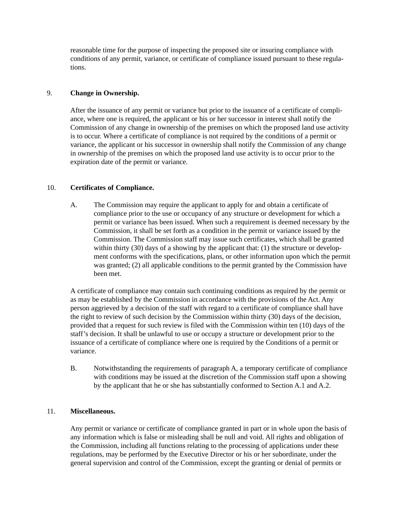reasonable time for the purpose of inspecting the proposed site or insuring compliance with conditions of any permit, variance, or certificate of compliance issued pursuant to these regulations.

## 9. **Change in Ownership.**

After the issuance of any permit or variance but prior to the issuance of a certificate of compliance, where one is required, the applicant or his or her successor in interest shall notify the Commission of any change in ownership of the premises on which the proposed land use activity is to occur. Where a certificate of compliance is not required by the conditions of a permit or variance, the applicant or his successor in ownership shall notify the Commission of any change in ownership of the premises on which the proposed land use activity is to occur prior to the expiration date of the permit or variance.

### 10. **Certificates of Compliance.**

A. The Commission may require the applicant to apply for and obtain a certificate of compliance prior to the use or occupancy of any structure or development for which a permit or variance has been issued. When such a requirement is deemed necessary by the Commission, it shall be set forth as a condition in the permit or variance issued by the Commission. The Commission staff may issue such certificates, which shall be granted within thirty (30) days of a showing by the applicant that: (1) the structure or development conforms with the specifications, plans, or other information upon which the permit was granted; (2) all applicable conditions to the permit granted by the Commission have been met.

A certificate of compliance may contain such continuing conditions as required by the permit or as may be established by the Commission in accordance with the provisions of the Act. Any person aggrieved by a decision of the staff with regard to a certificate of compliance shall have the right to review of such decision by the Commission within thirty (30) days of the decision, provided that a request for such review is filed with the Commission within ten (10) days of the staff's decision. It shall be unlawful to use or occupy a structure or development prior to the issuance of a certificate of compliance where one is required by the Conditions of a permit or variance.

B. Notwithstanding the requirements of paragraph A, a temporary certificate of compliance with conditions may be issued at the discretion of the Commission staff upon a showing by the applicant that he or she has substantially conformed to Section A.1 and A.2.

#### 11. **Miscellaneous.**

Any permit or variance or certificate of compliance granted in part or in whole upon the basis of any information which is false or misleading shall be null and void. All rights and obligation of the Commission, including all functions relating to the processing of applications under these regulations, may be performed by the Executive Director or his or her subordinate, under the general supervision and control of the Commission, except the granting or denial of permits or